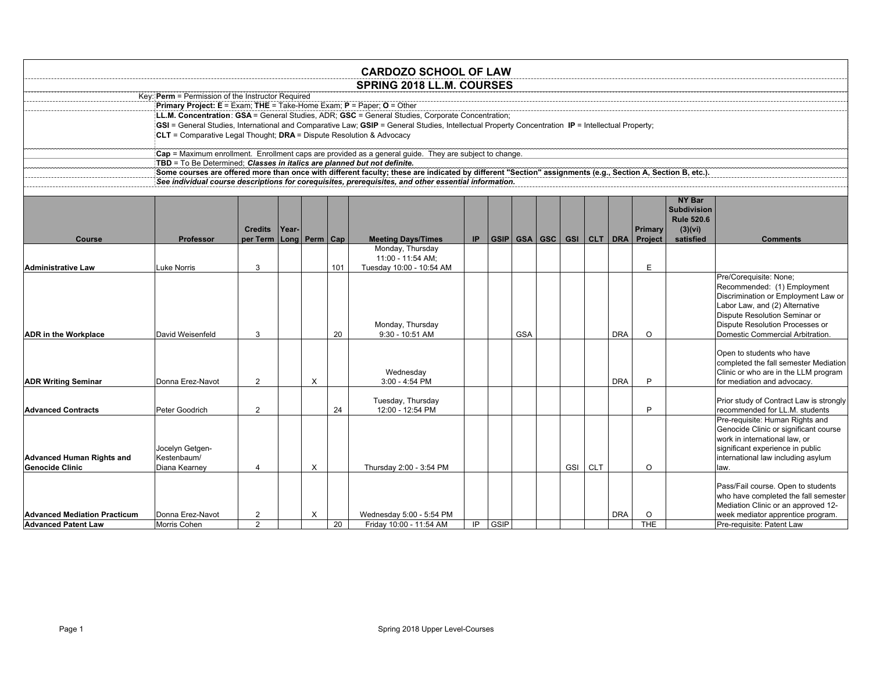|                                                                   |                                                                          |                                  |       |          |     | <b>CARDOZO SCHOOL OF LAW</b>                                                                                                                               |     |             |            |  |                 |            |                 |                                     |                                                                               |
|-------------------------------------------------------------------|--------------------------------------------------------------------------|----------------------------------|-------|----------|-----|------------------------------------------------------------------------------------------------------------------------------------------------------------|-----|-------------|------------|--|-----------------|------------|-----------------|-------------------------------------|-------------------------------------------------------------------------------|
|                                                                   |                                                                          |                                  |       |          |     | <b>SPRING 2018 LL.M. COURSES</b>                                                                                                                           |     |             |            |  |                 |            |                 |                                     |                                                                               |
|                                                                   | Key: Perm = Permission of the Instructor Required                        |                                  |       |          |     |                                                                                                                                                            |     |             |            |  |                 |            |                 |                                     |                                                                               |
|                                                                   | Primary Project: E = Exam; THE = Take-Home Exam; P = Paper; O = Other    |                                  |       |          |     |                                                                                                                                                            |     |             |            |  |                 |            |                 |                                     |                                                                               |
|                                                                   |                                                                          |                                  |       |          |     | LL.M. Concentration: GSA = General Studies, ADR; GSC = General Studies, Corporate Concentration;                                                           |     |             |            |  |                 |            |                 |                                     |                                                                               |
|                                                                   |                                                                          |                                  |       |          |     | GSI = General Studies, International and Comparative Law; GSIP = General Studies, Intellectual Property Concentration IP = Intellectual Property;          |     |             |            |  |                 |            |                 |                                     |                                                                               |
|                                                                   | $CLT =$ Comparative Legal Thought: $DRA =$ Dispute Resolution & Advocacy |                                  |       |          |     |                                                                                                                                                            |     |             |            |  |                 |            |                 |                                     |                                                                               |
|                                                                   |                                                                          |                                  |       |          |     | Cap = Maximum enrollment. Enrollment caps are provided as a general guide. They are subject to change.                                                     |     |             |            |  |                 |            |                 |                                     |                                                                               |
|                                                                   | TBD = To Be Determined: Classes in italics are planned but not definite. |                                  |       |          |     |                                                                                                                                                            |     |             |            |  |                 |            |                 |                                     |                                                                               |
|                                                                   |                                                                          |                                  |       |          |     | Some courses are offered more than once with different faculty; these are indicated by different "Section" assignments (e.g., Section A, Section B, etc.). |     |             |            |  |                 |            |                 |                                     |                                                                               |
|                                                                   |                                                                          |                                  |       |          |     | See individual course descriptions for corequisites, prerequisites, and other essential information.                                                       |     |             |            |  |                 |            |                 |                                     |                                                                               |
|                                                                   |                                                                          |                                  |       |          |     |                                                                                                                                                            |     |             |            |  |                 |            |                 |                                     |                                                                               |
|                                                                   |                                                                          |                                  |       |          |     |                                                                                                                                                            |     |             |            |  |                 |            |                 | <b>NY Bar</b><br><b>Subdivision</b> |                                                                               |
|                                                                   |                                                                          |                                  |       |          |     |                                                                                                                                                            |     |             |            |  |                 |            |                 | <b>Rule 520.6</b>                   |                                                                               |
|                                                                   |                                                                          | <b>Credits</b>                   | Year- |          |     |                                                                                                                                                            |     |             |            |  |                 |            | Primary         | (3)(vi)                             |                                                                               |
| <b>Course</b>                                                     | <b>Professor</b>                                                         | per Term                         | Long  | Perm Cap |     | <b>Meeting Days/Times</b>                                                                                                                                  | IP. |             | GSIP GSA   |  | GSC   GSI   CLT | <b>DRA</b> | <b>Project</b>  | satisfied                           | <b>Comments</b>                                                               |
|                                                                   |                                                                          |                                  |       |          |     | Monday, Thursday                                                                                                                                           |     |             |            |  |                 |            |                 |                                     |                                                                               |
|                                                                   |                                                                          |                                  |       |          |     | 11:00 - 11:54 AM;                                                                                                                                          |     |             |            |  |                 |            |                 |                                     |                                                                               |
| <b>Administrative Law</b>                                         | uke Norris.                                                              | 3                                |       |          | 101 | Tuesday 10:00 - 10:54 AM                                                                                                                                   |     |             |            |  |                 |            | F               |                                     |                                                                               |
|                                                                   |                                                                          |                                  |       |          |     |                                                                                                                                                            |     |             |            |  |                 |            |                 |                                     | Pre/Corequisite: None;<br>Recommended: (1) Employment                         |
|                                                                   |                                                                          |                                  |       |          |     |                                                                                                                                                            |     |             |            |  |                 |            |                 |                                     | Discrimination or Employment Law or                                           |
|                                                                   |                                                                          |                                  |       |          |     |                                                                                                                                                            |     |             |            |  |                 |            |                 |                                     | Labor Law, and (2) Alternative                                                |
|                                                                   |                                                                          |                                  |       |          |     |                                                                                                                                                            |     |             |            |  |                 |            |                 |                                     | Dispute Resolution Seminar or                                                 |
|                                                                   |                                                                          |                                  |       |          |     | Monday, Thursday                                                                                                                                           |     |             |            |  |                 |            |                 |                                     | Dispute Resolution Processes or                                               |
| <b>ADR</b> in the Workplace                                       | David Weisenfeld                                                         | 3                                |       |          | 20  | 9:30 - 10:51 AM                                                                                                                                            |     |             | <b>GSA</b> |  |                 | <b>DRA</b> | $\Omega$        |                                     | Domestic Commercial Arbitration.                                              |
|                                                                   |                                                                          |                                  |       |          |     |                                                                                                                                                            |     |             |            |  |                 |            |                 |                                     |                                                                               |
|                                                                   |                                                                          |                                  |       |          |     |                                                                                                                                                            |     |             |            |  |                 |            |                 |                                     | Open to students who have                                                     |
|                                                                   |                                                                          |                                  |       |          |     | Wednesday                                                                                                                                                  |     |             |            |  |                 |            |                 |                                     | completed the fall semester Mediation<br>Clinic or who are in the LLM program |
| <b>ADR Writing Seminar</b>                                        | Donna Erez-Navot                                                         | $\overline{2}$                   |       | $\times$ |     | 3:00 - 4:54 PM                                                                                                                                             |     |             |            |  |                 | <b>DRA</b> | P               |                                     | for mediation and advocacv.                                                   |
|                                                                   |                                                                          |                                  |       |          |     |                                                                                                                                                            |     |             |            |  |                 |            |                 |                                     |                                                                               |
|                                                                   |                                                                          |                                  |       |          |     | Tuesday, Thursday                                                                                                                                          |     |             |            |  |                 |            |                 |                                     | Prior study of Contract Law is strongly                                       |
| <b>Advanced Contracts</b>                                         | Peter Goodrich                                                           | $\overline{2}$                   |       |          | 24  | 12:00 - 12:54 PM                                                                                                                                           |     |             |            |  |                 |            | P               |                                     | recommended for LL.M. students                                                |
|                                                                   |                                                                          |                                  |       |          |     |                                                                                                                                                            |     |             |            |  |                 |            |                 |                                     | Pre-requisite: Human Rights and                                               |
|                                                                   |                                                                          |                                  |       |          |     |                                                                                                                                                            |     |             |            |  |                 |            |                 |                                     | Genocide Clinic or significant course                                         |
|                                                                   | Jocelyn Getgen-                                                          |                                  |       |          |     |                                                                                                                                                            |     |             |            |  |                 |            |                 |                                     | work in international law, or<br>significant experience in public             |
| <b>Advanced Human Rights and</b>                                  | Kestenbaum/                                                              |                                  |       |          |     |                                                                                                                                                            |     |             |            |  |                 |            |                 |                                     | international law including asylum                                            |
| <b>Genocide Clinic</b>                                            | Diana Kearney                                                            | $\overline{4}$                   |       | X        |     | Thursday 2:00 - 3:54 PM                                                                                                                                    |     |             |            |  | GSI CLT         |            | $\Omega$        |                                     | law.                                                                          |
|                                                                   |                                                                          |                                  |       |          |     |                                                                                                                                                            |     |             |            |  |                 |            |                 |                                     |                                                                               |
|                                                                   |                                                                          |                                  |       |          |     |                                                                                                                                                            |     |             |            |  |                 |            |                 |                                     | Pass/Fail course. Open to students                                            |
|                                                                   |                                                                          |                                  |       |          |     |                                                                                                                                                            |     |             |            |  |                 |            |                 |                                     | who have completed the fall semester                                          |
|                                                                   |                                                                          |                                  |       |          |     |                                                                                                                                                            |     |             |            |  |                 |            |                 |                                     | Mediation Clinic or an approved 12-                                           |
| <b>Advanced Mediation Practicum</b><br><b>Advanced Patent Law</b> | Donna Erez-Navot<br>Morris Cohen                                         | $\overline{2}$<br>$\overline{2}$ |       | X        | 20  | Wednesday 5:00 - 5:54 PM<br>Friday 10:00 - 11:54 AM                                                                                                        | IP  | <b>GSIP</b> |            |  |                 | <b>DRA</b> | O<br><b>THE</b> |                                     | week mediator apprentice program.<br>Pre-requisite: Patent Law                |
|                                                                   |                                                                          |                                  |       |          |     |                                                                                                                                                            |     |             |            |  |                 |            |                 |                                     |                                                                               |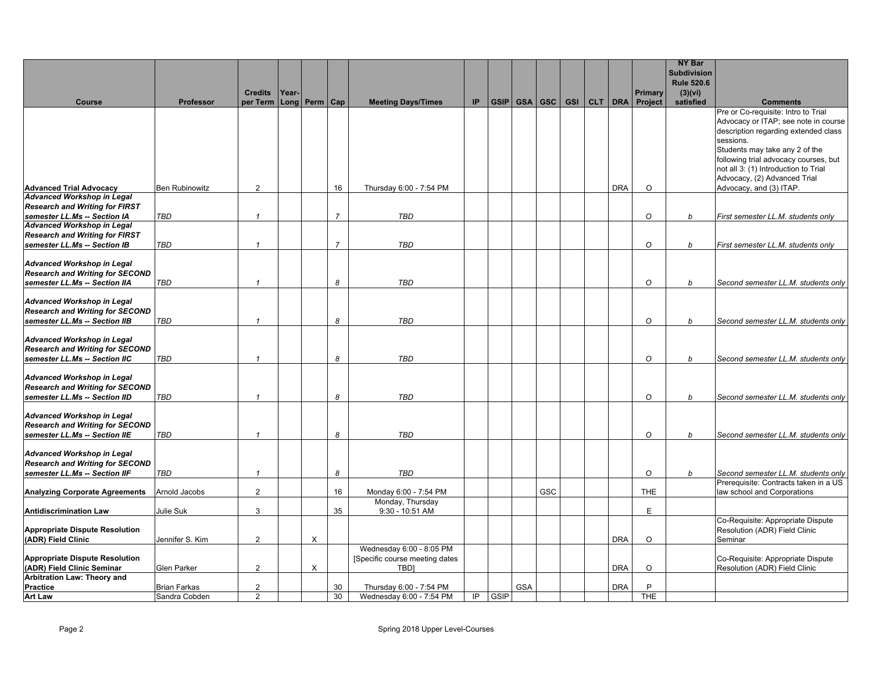|                                                                             |                       |                         |       |                   |                |                               |     |             |            |                      |  |            |             | <b>NY Bar</b><br><b>Subdivision</b> |                                                                               |
|-----------------------------------------------------------------------------|-----------------------|-------------------------|-------|-------------------|----------------|-------------------------------|-----|-------------|------------|----------------------|--|------------|-------------|-------------------------------------|-------------------------------------------------------------------------------|
|                                                                             |                       |                         |       |                   |                |                               |     |             |            |                      |  |            |             | <b>Rule 520.6</b>                   |                                                                               |
|                                                                             |                       | <b>Credits</b>          | Year- |                   |                |                               |     |             |            |                      |  |            | Primary     | (3)(vi)                             |                                                                               |
| Course                                                                      | Professor             | per Term                |       | Long   Perm   Cap |                | <b>Meeting Days/Times</b>     | IP. |             |            | GSIP GSA GSC GSI CLT |  |            | DRA Project | satisfied                           | <b>Comments</b>                                                               |
|                                                                             |                       |                         |       |                   |                |                               |     |             |            |                      |  |            |             |                                     | Pre or Co-requisite: Intro to Trial<br>Advocacy or ITAP; see note in course   |
|                                                                             |                       |                         |       |                   |                |                               |     |             |            |                      |  |            |             |                                     | description regarding extended class                                          |
|                                                                             |                       |                         |       |                   |                |                               |     |             |            |                      |  |            |             |                                     | sessions.                                                                     |
|                                                                             |                       |                         |       |                   |                |                               |     |             |            |                      |  |            |             |                                     | Students may take any 2 of the                                                |
|                                                                             |                       |                         |       |                   |                |                               |     |             |            |                      |  |            |             |                                     | following trial advocacy courses, but<br>not all 3: (1) Introduction to Trial |
|                                                                             |                       |                         |       |                   |                |                               |     |             |            |                      |  |            |             |                                     | Advocacy, (2) Advanced Trial                                                  |
| <b>Advanced Trial Advocacv</b>                                              | <b>Ben Rubinowitz</b> | $\overline{2}$          |       |                   | 16             | Thursday 6:00 - 7:54 PM       |     |             |            |                      |  | <b>DRA</b> | $\circ$     |                                     | Advocacy, and (3) ITAP.                                                       |
| <b>Advanced Workshop in Legal</b>                                           |                       |                         |       |                   |                |                               |     |             |            |                      |  |            |             |                                     |                                                                               |
| <b>Research and Writing for FIRST</b>                                       |                       |                         |       |                   |                |                               |     |             |            |                      |  |            |             |                                     |                                                                               |
| semester LL.Ms -- Section IA<br><b>Advanced Workshop in Legal</b>           | TBD                   | $\mathbf{1}$            |       |                   | $\overline{7}$ | TBD                           |     |             |            |                      |  |            | O           | b                                   | First semester LL.M. students only                                            |
| <b>Research and Writing for FIRST</b>                                       |                       |                         |       |                   |                |                               |     |             |            |                      |  |            |             |                                     |                                                                               |
| semester LL.Ms -- Section IB                                                | <b>TBD</b>            | $\mathbf{1}$            |       |                   | $\overline{7}$ | <b>TBD</b>                    |     |             |            |                      |  |            | $\circ$     | b                                   | First semester LL.M. students only                                            |
|                                                                             |                       |                         |       |                   |                |                               |     |             |            |                      |  |            |             |                                     |                                                                               |
| <b>Advanced Workshop in Legal</b><br><b>Research and Writing for SECOND</b> |                       |                         |       |                   |                |                               |     |             |            |                      |  |            |             |                                     |                                                                               |
| semester LL.Ms -- Section IIA                                               | TBD                   | $\overline{\mathbf{1}}$ |       |                   | 8              | <b>TBD</b>                    |     |             |            |                      |  |            | $\circ$     | b                                   | Second semester LL.M. students only                                           |
|                                                                             |                       |                         |       |                   |                |                               |     |             |            |                      |  |            |             |                                     |                                                                               |
| <b>Advanced Workshop in Legal</b>                                           |                       |                         |       |                   |                |                               |     |             |            |                      |  |            |             |                                     |                                                                               |
| <b>Research and Writing for SECOND</b>                                      |                       |                         |       |                   |                |                               |     |             |            |                      |  |            |             |                                     |                                                                               |
| semester LL.Ms -- Section IIB                                               | <b>TBD</b>            | $\overline{1}$          |       |                   | 8              | <b>TBD</b>                    |     |             |            |                      |  |            | O           | b                                   | Second semester LL.M. students only                                           |
| <b>Advanced Workshop in Legal</b>                                           |                       |                         |       |                   |                |                               |     |             |            |                      |  |            |             |                                     |                                                                               |
| <b>Research and Writing for SECOND</b>                                      |                       |                         |       |                   |                |                               |     |             |            |                      |  |            |             |                                     |                                                                               |
| semester LL.Ms -- Section IIC                                               | <b>TBD</b>            | $\overline{1}$          |       |                   | 8              | <b>TBD</b>                    |     |             |            |                      |  |            | $\circ$     | b                                   | Second semester LL.M. students only                                           |
| <b>Advanced Workshop in Legal</b>                                           |                       |                         |       |                   |                |                               |     |             |            |                      |  |            |             |                                     |                                                                               |
| <b>Research and Writing for SECOND</b>                                      |                       |                         |       |                   |                |                               |     |             |            |                      |  |            |             |                                     |                                                                               |
| semester LL.Ms -- Section IID                                               | <b>TBD</b>            | $\overline{1}$          |       |                   | 8              | <b>TBD</b>                    |     |             |            |                      |  |            | $\circ$     | b                                   | Second semester LL.M. students only                                           |
|                                                                             |                       |                         |       |                   |                |                               |     |             |            |                      |  |            |             |                                     |                                                                               |
| <b>Advanced Workshop in Legal</b><br><b>Research and Writing for SECOND</b> |                       |                         |       |                   |                |                               |     |             |            |                      |  |            |             |                                     |                                                                               |
| semester LL.Ms -- Section IIE                                               | <b>TBD</b>            | $\overline{\mathbf{1}}$ |       |                   | 8              | <b>TBD</b>                    |     |             |            |                      |  |            | $\circ$     | b                                   | Second semester LL.M. students only                                           |
|                                                                             |                       |                         |       |                   |                |                               |     |             |            |                      |  |            |             |                                     |                                                                               |
| <b>Advanced Workshop in Legal</b>                                           |                       |                         |       |                   |                |                               |     |             |            |                      |  |            |             |                                     |                                                                               |
| <b>Research and Writing for SECOND</b>                                      |                       |                         |       |                   |                |                               |     |             |            |                      |  |            |             |                                     |                                                                               |
| semester LL.Ms -- Section IIF                                               | TBD                   | $\overline{1}$          |       |                   | 8              | TBD                           |     |             |            |                      |  |            | $\circ$     | b                                   | Second semester LL.M. students only<br>Prerequisite: Contracts taken in a US  |
| <b>Analyzing Corporate Agreements</b>                                       | Arnold Jacobs         | $\overline{2}$          |       |                   | 16             | Monday 6:00 - 7:54 PM         |     |             |            | GSC                  |  |            | <b>THE</b>  |                                     | law school and Corporations                                                   |
|                                                                             |                       |                         |       |                   |                | Monday, Thursday              |     |             |            |                      |  |            |             |                                     |                                                                               |
| <b>Antidiscrimination Law</b>                                               | Julie Suk             | $\mathbf{3}$            |       |                   | 35             | 9:30 - 10:51 AM               |     |             |            |                      |  |            | E           |                                     |                                                                               |
| <b>Appropriate Dispute Resolution</b>                                       |                       |                         |       |                   |                |                               |     |             |            |                      |  |            |             |                                     | Co-Requisite: Appropriate Dispute<br>Resolution (ADR) Field Clinic            |
| (ADR) Field Clinic                                                          | Jennifer S. Kim       | $\overline{2}$          |       | X                 |                |                               |     |             |            |                      |  | <b>DRA</b> | $\circ$     |                                     | Seminar                                                                       |
|                                                                             |                       |                         |       |                   |                | Wednesday 6:00 - 8:05 PM      |     |             |            |                      |  |            |             |                                     |                                                                               |
| <b>Appropriate Dispute Resolution</b>                                       |                       |                         |       |                   |                | Specific course meeting dates |     |             |            |                      |  |            |             |                                     | Co-Requisite: Appropriate Dispute                                             |
| (ADR) Field Clinic Seminar<br>Arbitration Law: Theory and                   | <b>Glen Parker</b>    | $\overline{2}$          |       | X                 |                | <b>TBDI</b>                   |     |             |            |                      |  | <b>DRA</b> | $\Omega$    |                                     | Resolution (ADR) Field Clinic                                                 |
| Practice                                                                    | <b>Brian Farkas</b>   | $\overline{2}$          |       |                   | 30             | Thursday 6:00 - 7:54 PM       |     |             | <b>GSA</b> |                      |  | <b>DRA</b> | P           |                                     |                                                                               |
| <b>Art Law</b>                                                              | Sandra Cobden         | 2                       |       |                   | 30             | Wednesday 6:00 - 7:54 PM      | IP. | <b>GSIP</b> |            |                      |  |            | <b>THE</b>  |                                     |                                                                               |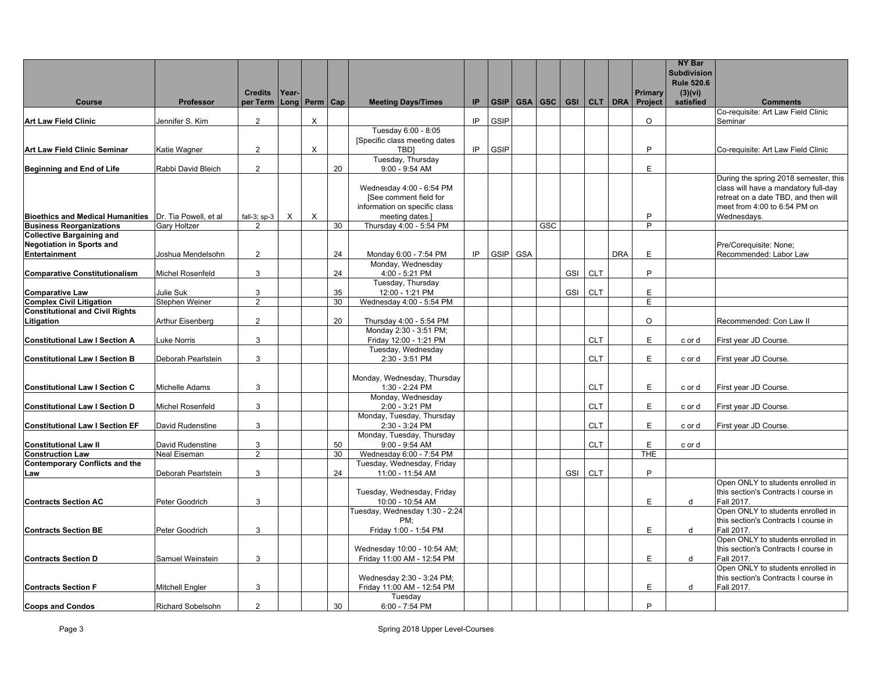| <b>Subdivision</b><br><b>Rule 520.6</b><br><b>Credits</b><br>Year-<br>Primary                                                                                                                                                                                    |                                                                                                                                                       |
|------------------------------------------------------------------------------------------------------------------------------------------------------------------------------------------------------------------------------------------------------------------|-------------------------------------------------------------------------------------------------------------------------------------------------------|
| (3)(vi)<br>Perm   Cap<br>GSA GSC GSI CLT DRA<br>Professor<br>per Term<br><b>Long</b><br><b>Meeting Days/Times</b><br>IP.<br>GSIP<br>Project<br>satisfied<br>Course                                                                                               | <b>Comments</b>                                                                                                                                       |
| $\overline{2}$<br>X<br>IP.<br>GSIP<br>$\circ$<br><b>Art Law Field Clinic</b><br>Jennifer S. Kim                                                                                                                                                                  | Co-requisite: Art Law Field Clinic<br>Seminar                                                                                                         |
| Tuesday 6:00 - 8:05                                                                                                                                                                                                                                              |                                                                                                                                                       |
| [Specific class meeting dates                                                                                                                                                                                                                                    |                                                                                                                                                       |
| GSIP<br>$\overline{2}$<br>$\times$<br>IP<br>P<br>Art Law Field Clinic Seminar<br>Katie Wagner<br><b>TBDI</b><br>Tuesday, Thursday                                                                                                                                | Co-requisite: Art Law Field Clinic                                                                                                                    |
| $\overline{2}$<br>20<br>9:00 - 9:54 AM<br>E<br>Rabbi David Bleich<br>Beginning and End of Life                                                                                                                                                                   |                                                                                                                                                       |
| Wednesday 4:00 - 6:54 PM<br>[See comment field for<br>information on specific class                                                                                                                                                                              | During the spring 2018 semester, this<br>class will have a mandatory full-day<br>retreat on a date TBD, and then will<br>meet from 4:00 to 6:54 PM on |
| $\times$<br>$\times$<br>P<br><b>Bioethics and Medical Humanities</b> IDr. Tia Powell, et al<br>fall-3; $sp-3$<br>meeting dates.]<br><b>GSC</b><br><b>Business Reorganizations</b><br><b>Gary Holtzer</b><br>$\overline{2}$<br>30<br>Thursday 4:00 - 5:54 PM<br>P | Wednesdavs.                                                                                                                                           |
| <b>Collective Bargaining and</b>                                                                                                                                                                                                                                 |                                                                                                                                                       |
| <b>Negotiation in Sports and</b><br>GSIP GSA<br>$\overline{2}$<br>24<br>IP<br><b>DRA</b><br>E<br><b>Entertainment</b><br>Monday 6:00 - 7:54 PM<br>Joshua Mendelsohn                                                                                              | Pre/Corequisite: None;<br>Recommended: Labor Law                                                                                                      |
| Monday, Wednesday                                                                                                                                                                                                                                                |                                                                                                                                                       |
| $\mathbf{3}$<br>24<br><b>CLT</b><br>P<br><b>Michel Rosenfeld</b><br>4:00 - 5:21 PM<br><b>GSI</b><br><b>Comparative Constitutionalism</b>                                                                                                                         |                                                                                                                                                       |
| Tuesday, Thursday<br>Julie Suk<br>3<br>35<br>GSI<br><b>CLT</b><br>E<br><b>Comparative Law</b><br>12:00 - 1:21 PM                                                                                                                                                 |                                                                                                                                                       |
| <b>Complex Civil Litigation</b><br>Stephen Weiner<br>30<br>Wednesday 4:00 - 5:54 PM<br>E.<br>2                                                                                                                                                                   |                                                                                                                                                       |
| <b>Constitutional and Civil Rights</b>                                                                                                                                                                                                                           |                                                                                                                                                       |
| $\overline{2}$<br>20<br>$\circ$<br>Litigation<br>Arthur Eisenberg<br>Thursday 4:00 - 5:54 PM                                                                                                                                                                     | Recommended: Con Law II                                                                                                                               |
| Monday 2:30 - 3:51 PM;<br>E<br>3<br>CLT<br><b>Constitutional Law I Section A</b><br>uke Norris<br>Friday 12:00 - 1:21 PM<br>c or d                                                                                                                               | First year JD Course.                                                                                                                                 |
| Tuesday, Wednesday                                                                                                                                                                                                                                               |                                                                                                                                                       |
| 3<br><b>CLT</b><br>E<br>Deborah Pearlstein<br>2:30 - 3:51 PM<br><b>Constitutional Law I Section B</b><br>c or d                                                                                                                                                  | First year JD Course.                                                                                                                                 |
|                                                                                                                                                                                                                                                                  |                                                                                                                                                       |
| Monday, Wednesday, Thursday<br>3<br>1:30 - 2:24 PM<br><b>CLT</b><br>E.<br><b>Constitutional Law I Section C</b><br>Michelle Adams<br>c or d                                                                                                                      | First year JD Course.                                                                                                                                 |
| Monday, Wednesday                                                                                                                                                                                                                                                |                                                                                                                                                       |
| CLT<br>F.<br>3<br><b>Constitutional Law I Section D</b><br>Michel Rosenfeld<br>2:00 - 3:21 PM<br>c or d                                                                                                                                                          | First year JD Course.                                                                                                                                 |
| Monday, Tuesday, Thursday<br>3<br>2:30 - 3:24 PM<br><b>CLT</b><br>E<br><b>Constitutional Law I Section EF</b><br>David Rudenstine<br>c or d                                                                                                                      | First year JD Course.                                                                                                                                 |
| Monday, Tuesday, Thursday<br><b>CLT</b><br>E<br>3<br>50<br>$9:00 - 9:54$ AM<br><b>Constitutional Law II</b><br>David Rudenstine<br>c or d                                                                                                                        |                                                                                                                                                       |
| $\overline{2}$<br>30<br>Wednesday 6:00 - 7:54 PM<br><b>THE</b><br><b>Construction Law</b><br>Neal Eiseman                                                                                                                                                        |                                                                                                                                                       |
| <b>Contemporary Conflicts and the</b><br>Tuesday, Wednesday, Friday                                                                                                                                                                                              |                                                                                                                                                       |
| 24<br><b>CLT</b><br>P<br>3<br>11:00 - 11:54 AM<br>GSI<br>Deborah Pearlstein<br>Law                                                                                                                                                                               |                                                                                                                                                       |
| Tuesday, Wednesday, Friday<br>3<br>E<br>d                                                                                                                                                                                                                        | Open ONLY to students enrolled in<br>this section's Contracts I course in                                                                             |
| <b>Contracts Section AC</b><br>Peter Goodrich<br>10:00 - 10:54 AM<br>Tuesday, Wednesday 1:30 - 2:24                                                                                                                                                              | Fall 2017.<br>Open ONLY to students enrolled in                                                                                                       |
| PM:                                                                                                                                                                                                                                                              | this section's Contracts I course in                                                                                                                  |
| E<br>3<br>Friday 1:00 - 1:54 PM<br><b>Contracts Section BE</b><br>Peter Goodrich<br>d                                                                                                                                                                            | Fall 2017.                                                                                                                                            |
| Wednesday 10:00 - 10:54 AM;<br>Samuel Weinstein<br>3<br>Friday 11:00 AM - 12:54 PM<br>E<br>d<br><b>Contracts Section D</b>                                                                                                                                       | Open ONLY to students enrolled in<br>this section's Contracts I course in<br>Fall 2017.                                                               |
|                                                                                                                                                                                                                                                                  | Open ONLY to students enrolled in                                                                                                                     |
| Wednesday 2:30 - 3:24 PM;<br>E<br><b>Mitchell Engler</b><br>3<br>Friday 11:00 AM - 12:54 PM<br>d<br><b>Contracts Section F</b>                                                                                                                                   | this section's Contracts I course in<br>Fall 2017.                                                                                                    |
| Tuesday<br>Richard Sobelsohn<br>2<br>30<br>6:00 - 7:54 PM<br>P<br><b>Coops and Condos</b>                                                                                                                                                                        |                                                                                                                                                       |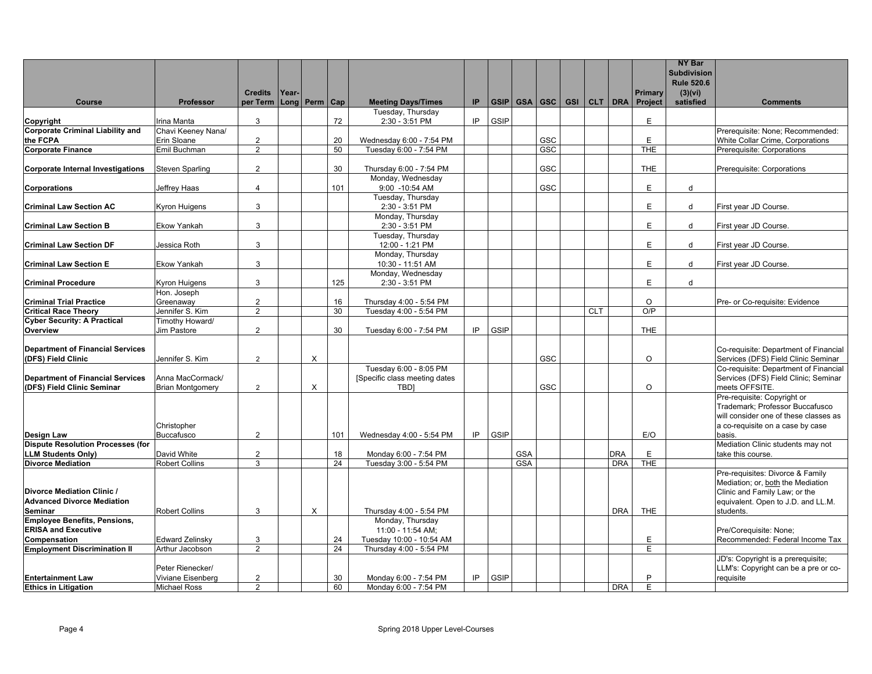|                                                                       |                                    |                     |       |          |                 |                                                         |    |             |                          |     |            |            |                     | <b>NY Bar</b><br><b>Subdivision</b> |                                                                                                         |
|-----------------------------------------------------------------------|------------------------------------|---------------------|-------|----------|-----------------|---------------------------------------------------------|----|-------------|--------------------------|-----|------------|------------|---------------------|-------------------------------------|---------------------------------------------------------------------------------------------------------|
|                                                                       |                                    |                     |       |          |                 |                                                         |    |             |                          |     |            |            |                     | <b>Rule 520.6</b>                   |                                                                                                         |
|                                                                       |                                    | <b>Credits</b>      | Year- |          |                 |                                                         |    |             |                          |     |            |            | <b>Primary</b>      | (3)(vi)                             |                                                                                                         |
| Course                                                                | Professor                          | per Term            | Long  | Perm     | Cap             | <b>Meeting Days/Times</b>                               | IP |             | GSIP GSA GSC GSI CLT DRA |     |            |            | Project             | satisfied                           | <b>Comments</b>                                                                                         |
| Copyright                                                             | Irina Manta                        | $\mathsf 3$         |       |          | 72              | Tuesday, Thursday<br>2:30 - 3:51 PM                     | IP | GSIP        |                          |     |            |            | E                   |                                     |                                                                                                         |
| <b>Corporate Criminal Liability and</b>                               | Chavi Keeney Nana/                 |                     |       |          |                 |                                                         |    |             |                          |     |            |            |                     |                                     | Prerequisite: None; Recommended:                                                                        |
| the FCPA                                                              | Erin Sloane                        | $\overline{2}$      |       |          | 20              | Wednesday 6:00 - 7:54 PM                                |    |             |                          | GSC |            |            | E                   |                                     | White Collar Crime, Corporations                                                                        |
| <b>Corporate Finance</b>                                              | Emil Buchman                       | $\overline{2}$      |       |          | 50              | Tuesday 6:00 - 7:54 PM                                  |    |             |                          | GSC |            |            | <b>THE</b>          |                                     | Prerequisite: Corporations                                                                              |
| <b>Corporate Internal Investigations</b>                              | <b>Steven Sparling</b>             | $\overline{2}$      |       |          | 30              | Thursday 6:00 - 7:54 PM                                 |    |             |                          | GSC |            |            | <b>THE</b>          |                                     | Prerequisite: Corporations                                                                              |
| <b>Corporations</b>                                                   | Jeffrey Haas                       | $\overline{4}$      |       |          | 101             | Monday, Wednesday<br>9:00 -10:54 AM                     |    |             |                          | GSC |            |            | E                   | d                                   |                                                                                                         |
| <b>Criminal Law Section AC</b>                                        | <b>Kyron Huigens</b>               | 3                   |       |          |                 | Tuesday, Thursday<br>2:30 - 3:51 PM                     |    |             |                          |     |            |            | E                   | d                                   | First year JD Course.                                                                                   |
| <b>Criminal Law Section B</b>                                         | <b>Ekow Yankah</b>                 | 3                   |       |          |                 | Monday, Thursday<br>2:30 - 3:51 PM                      |    |             |                          |     |            |            | E                   | d                                   | First year JD Course.                                                                                   |
| <b>Criminal Law Section DF</b>                                        | Jessica Roth                       | 3                   |       |          |                 | Tuesday, Thursday<br>12:00 - 1:21 PM                    |    |             |                          |     |            |            | F                   | d                                   | First year JD Course.                                                                                   |
| <b>Criminal Law Section E</b>                                         | <b>Ekow Yankah</b>                 | 3                   |       |          |                 | Monday, Thursday<br>10:30 - 11:51 AM                    |    |             |                          |     |            |            | E                   | d                                   | First year JD Course.                                                                                   |
| <b>Criminal Procedure</b>                                             | Kyron Huigens                      | 3                   |       |          | 125             | Monday, Wednesday<br>2:30 - 3:51 PM                     |    |             |                          |     |            |            | Ε                   | d                                   |                                                                                                         |
| <b>Criminal Trial Practice</b>                                        | Hon. Joseph<br>Greenaway           | $\overline{2}$      |       |          | 16              | Thursday 4:00 - 5:54 PM                                 |    |             |                          |     |            |            | $\circ$             |                                     | Pre- or Co-requisite: Evidence                                                                          |
| <b>Critical Race Theory</b>                                           | Jennifer S. Kim                    | $\overline{2}$      |       |          | 30              | Tuesday 4:00 - 5:54 PM                                  |    |             |                          |     | <b>CLT</b> |            | O/P                 |                                     |                                                                                                         |
| <b>Cyber Security: A Practical</b>                                    | Timothy Howard/                    | $\mathfrak{p}$      |       |          |                 |                                                         |    |             |                          |     |            |            |                     |                                     |                                                                                                         |
| Overview                                                              | Jim Pastore                        |                     |       |          | 30              | Tuesday 6:00 - 7:54 PM                                  | IP | GSIP        |                          |     |            |            | <b>THE</b>          |                                     |                                                                                                         |
| <b>Department of Financial Services</b><br>(DFS) Field Clinic         | Jennifer S. Kim                    | $\overline{2}$      |       | X        |                 |                                                         |    |             |                          | GSC |            |            | $\Omega$            |                                     | Co-requisite: Department of Financial<br>Services (DFS) Field Clinic Seminar                            |
| <b>Department of Financial Services</b>                               | Anna MacCormack/                   |                     |       |          |                 | Tuesday 6:00 - 8:05 PM<br>[Specific class meeting dates |    |             |                          |     |            |            |                     |                                     | Co-requisite: Department of Financial<br>Services (DFS) Field Clinic; Seminar                           |
| (DFS) Field Clinic Seminar                                            | <b>Brian Montgomery</b>            | 2                   |       | $\times$ |                 | <b>TBDI</b>                                             |    |             |                          | GSC |            |            | $\Omega$            |                                     | meets OFFSITE.                                                                                          |
|                                                                       |                                    |                     |       |          |                 |                                                         |    |             |                          |     |            |            |                     |                                     | Pre-requisite: Copyright or<br>Trademark; Professor Buccafusco<br>will consider one of these classes as |
| <b>Design Law</b>                                                     | Christopher<br><b>Buccafusco</b>   | $\overline{2}$      |       |          | 101             | Wednesday 4:00 - 5:54 PM                                | IP | GSIP        |                          |     |            |            | E/O                 |                                     | a co-requisite on a case by case<br>basis.                                                              |
| <b>Dispute Resolution Processes (for</b><br><b>LLM Students Only)</b> | David White                        | $\overline{2}$      |       |          | $18\,$          | Monday 6:00 - 7:54 PM                                   |    |             | <b>GSA</b>               |     |            | DRA        | Ε                   |                                     | Mediation Clinic students may not<br>take this course.                                                  |
| <b>Divorce Mediation</b>                                              | <b>Robert Collins</b>              | 3                   |       |          | $\overline{24}$ | Tuesday 3:00 - 5:54 PM                                  |    |             | <b>GSA</b>               |     |            | <b>DRA</b> | <b>THE</b>          |                                     |                                                                                                         |
| Divorce Mediation Clinic /                                            |                                    |                     |       |          |                 |                                                         |    |             |                          |     |            |            |                     |                                     | Pre-requisites: Divorce & Family<br>Mediation; or, both the Mediation<br>Clinic and Family Law; or the  |
| <b>Advanced Divorce Mediation</b>                                     |                                    |                     |       |          |                 |                                                         |    |             |                          |     |            |            |                     |                                     | equivalent. Open to J.D. and LL.M.                                                                      |
| <b>Seminar</b><br><b>Employee Benefits, Pensions,</b>                 | <b>Robert Collins</b>              | 3                   |       | $\times$ |                 | Thursday 4:00 - 5:54 PM<br>Monday, Thursday             |    |             |                          |     |            | <b>DRA</b> | THE                 |                                     | students.                                                                                               |
| <b>ERISA and Executive</b>                                            |                                    |                     |       |          |                 | 11:00 - 11:54 AM;                                       |    |             |                          |     |            |            |                     |                                     | Pre/Corequisite: None;                                                                                  |
| Compensation<br><b>Employment Discrimination II</b>                   | Edward Zelinsky<br>Arthur Jacobson | 3<br>$\mathfrak{p}$ |       |          | 24<br>24        | Tuesday 10:00 - 10:54 AM<br>Thursday 4:00 - 5:54 PM     |    |             |                          |     |            |            | Ε<br>$\overline{F}$ |                                     | Recommended: Federal Income Tax                                                                         |
|                                                                       | Peter Rienecker/                   |                     |       |          |                 |                                                         |    |             |                          |     |            |            |                     |                                     | JD's: Copyright is a prerequisite;<br>LLM's: Copyright can be a pre or co-                              |
| <b>Entertainment Law</b>                                              | Viviane Eisenberg                  | $\boldsymbol{2}$    |       |          | 30              | Monday 6:00 - 7:54 PM                                   | IP | <b>GSIP</b> |                          |     |            |            | P                   |                                     | requisite                                                                                               |
| <b>Ethics in Litigation</b>                                           | <b>Michael Ross</b>                | 2                   |       |          | 60              | Monday 6:00 - 7:54 PM                                   |    |             |                          |     |            | <b>DRA</b> | E                   |                                     |                                                                                                         |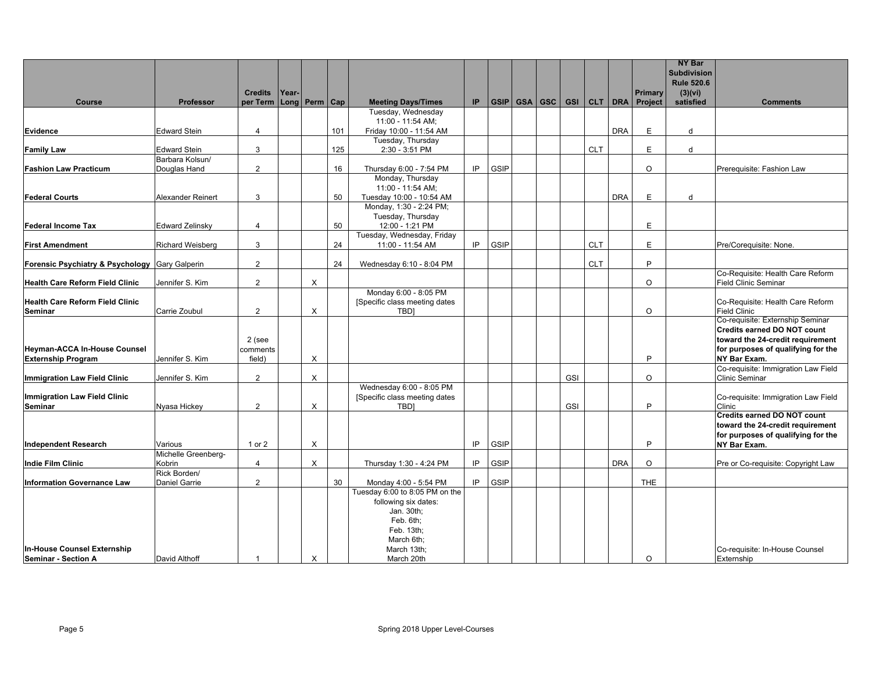|                                                           |                         |                |       |                     |     |                                                         |     |             |              |     |            |            |                     | <b>NY Bar</b><br><b>Subdivision</b> |                                                                        |
|-----------------------------------------------------------|-------------------------|----------------|-------|---------------------|-----|---------------------------------------------------------|-----|-------------|--------------|-----|------------|------------|---------------------|-------------------------------------|------------------------------------------------------------------------|
|                                                           |                         |                |       |                     |     |                                                         |     |             |              |     |            |            |                     | <b>Rule 520.6</b>                   |                                                                        |
|                                                           |                         | <b>Credits</b> | Year- |                     |     |                                                         |     |             |              |     |            |            | <b>Primary</b>      | (3)(vi)                             |                                                                        |
| <b>Course</b>                                             | <b>Professor</b>        | per Term       |       | Long   Perm $ $ Cap |     | <b>Meeting Days/Times</b><br>Tuesday, Wednesday         | IP. |             | GSIP GSA GSC |     |            |            | GSI CLT DRA Project | satisfied                           | <b>Comments</b>                                                        |
|                                                           |                         |                |       |                     |     | 11:00 - 11:54 AM;                                       |     |             |              |     |            |            |                     |                                     |                                                                        |
| Evidence                                                  | <b>Edward Stein</b>     | $\overline{4}$ |       |                     | 101 | Friday 10:00 - 11:54 AM                                 |     |             |              |     |            | <b>DRA</b> | E                   | d                                   |                                                                        |
|                                                           |                         |                |       |                     |     | Tuesday, Thursday                                       |     |             |              |     |            |            |                     |                                     |                                                                        |
| <b>Family Law</b>                                         | <b>Edward Stein</b>     | 3              |       |                     | 125 | 2:30 - 3:51 PM                                          |     |             |              |     | <b>CLT</b> |            | E                   | d                                   |                                                                        |
|                                                           | Barbara Kolsun/         | $\overline{2}$ |       |                     | 16  |                                                         | IP  | GSIP        |              |     |            |            | $\circ$             |                                     |                                                                        |
| <b>Fashion Law Practicum</b>                              | Douglas Hand            |                |       |                     |     | Thursday 6:00 - 7:54 PM<br>Monday, Thursday             |     |             |              |     |            |            |                     |                                     | Prerequisite: Fashion Law                                              |
|                                                           |                         |                |       |                     |     | 11:00 - 11:54 AM;                                       |     |             |              |     |            |            |                     |                                     |                                                                        |
| <b>Federal Courts</b>                                     | Alexander Reinert       | 3              |       |                     | 50  | Tuesday 10:00 - 10:54 AM                                |     |             |              |     |            | <b>DRA</b> | E                   | d                                   |                                                                        |
|                                                           |                         |                |       |                     |     | Monday, 1:30 - 2:24 PM;                                 |     |             |              |     |            |            |                     |                                     |                                                                        |
|                                                           |                         |                |       |                     |     | Tuesday, Thursday                                       |     |             |              |     |            |            |                     |                                     |                                                                        |
| <b>Federal Income Tax</b>                                 | <b>Edward Zelinsky</b>  | $\overline{4}$ |       |                     | 50  | 12:00 - 1:21 PM<br>Tuesday, Wednesday, Friday           |     |             |              |     |            |            | E                   |                                     |                                                                        |
| <b>First Amendment</b>                                    | <b>Richard Weisberg</b> | 3              |       |                     | 24  | 11:00 - 11:54 AM                                        | IP. | <b>GSIP</b> |              |     | <b>CLT</b> |            | E                   |                                     | Pre/Corequisite: None.                                                 |
|                                                           |                         |                |       |                     |     |                                                         |     |             |              |     |            |            |                     |                                     |                                                                        |
| Forensic Psychiatry & Psychology Gary Galperin            |                         | $\overline{2}$ |       |                     | 24  | Wednesday 6:10 - 8:04 PM                                |     |             |              |     | <b>CLT</b> |            | P                   |                                     |                                                                        |
|                                                           |                         |                |       |                     |     |                                                         |     |             |              |     |            |            |                     |                                     | Co-Requisite: Health Care Reform                                       |
| <b>Health Care Reform Field Clinic</b>                    | Jennifer S. Kim         | $\overline{2}$ |       | X                   |     |                                                         |     |             |              |     |            |            | $\circ$             |                                     | <b>Field Clinic Seminar</b>                                            |
| <b>Health Care Reform Field Clinic</b>                    |                         |                |       |                     |     | Monday 6:00 - 8:05 PM<br>[Specific class meeting dates  |     |             |              |     |            |            |                     |                                     | Co-Requisite: Health Care Reform                                       |
| Seminar                                                   | Carrie Zoubul           | $\overline{2}$ |       | $\times$            |     | TBD1                                                    |     |             |              |     |            |            | $\circ$             |                                     | <b>Field Clinic</b>                                                    |
|                                                           |                         |                |       |                     |     |                                                         |     |             |              |     |            |            |                     |                                     | Co-requisite: Externship Seminar                                       |
|                                                           |                         |                |       |                     |     |                                                         |     |             |              |     |            |            |                     |                                     | <b>Credits earned DO NOT count</b>                                     |
|                                                           |                         | 2 (see         |       |                     |     |                                                         |     |             |              |     |            |            |                     |                                     | toward the 24-credit requirement                                       |
| <b>Heyman-ACCA In-House Counsel</b>                       |                         | comments       |       |                     |     |                                                         |     |             |              |     |            |            | P                   |                                     | for purposes of qualifying for the                                     |
| <b>Externship Program</b>                                 | Jennifer S. Kim         | field)         |       | X                   |     |                                                         |     |             |              |     |            |            |                     |                                     | NY Bar Exam.<br>Co-requisite: Immigration Law Field                    |
| <b>Immigration Law Field Clinic</b>                       | Jennifer S. Kim         | $\overline{2}$ |       | $\times$            |     |                                                         |     |             |              | GSI |            |            | $\circ$             |                                     | <b>Clinic Seminar</b>                                                  |
|                                                           |                         |                |       |                     |     | Wednesday 6:00 - 8:05 PM                                |     |             |              |     |            |            |                     |                                     |                                                                        |
| Immigration Law Field Clinic                              |                         |                |       |                     |     | [Specific class meeting dates                           |     |             |              |     |            |            |                     |                                     | Co-requisite: Immigration Law Field                                    |
| Seminar                                                   | Nyasa Hickey            | $\overline{2}$ |       | $\times$            |     | TBD1                                                    |     |             |              | GSI |            |            | P                   |                                     | Clinic                                                                 |
|                                                           |                         |                |       |                     |     |                                                         |     |             |              |     |            |            |                     |                                     | <b>Credits earned DO NOT count</b><br>toward the 24-credit requirement |
|                                                           |                         |                |       |                     |     |                                                         |     |             |              |     |            |            |                     |                                     | for purposes of qualifying for the                                     |
| <b>Independent Research</b>                               | Various                 | 1 or 2         |       | X                   |     |                                                         | IP  | GSIP        |              |     |            |            | P                   |                                     | <b>NY Bar Exam.</b>                                                    |
|                                                           | Michelle Greenberg-     |                |       |                     |     |                                                         |     |             |              |     |            |            |                     |                                     |                                                                        |
| ndie Film Clinic                                          | Kobrin                  | $\overline{4}$ |       | $\times$            |     | Thursday 1:30 - 4:24 PM                                 | IP  | GSIP        |              |     |            | <b>DRA</b> | $\Omega$            |                                     | Pre or Co-requisite: Copyright Law                                     |
|                                                           | Rick Borden/            |                |       |                     |     |                                                         |     |             |              |     |            |            |                     |                                     |                                                                        |
| <b>Information Governance Law</b>                         | Daniel Garrie           | $\overline{2}$ |       |                     | 30  | Monday 4:00 - 5:54 PM<br>Tuesday 6:00 to 8:05 PM on the | IP  | GSIP        |              |     |            |            | <b>THE</b>          |                                     |                                                                        |
|                                                           |                         |                |       |                     |     | following six dates:                                    |     |             |              |     |            |            |                     |                                     |                                                                        |
|                                                           |                         |                |       |                     |     | Jan. 30th;                                              |     |             |              |     |            |            |                     |                                     |                                                                        |
|                                                           |                         |                |       |                     |     | Feb. 6th;                                               |     |             |              |     |            |            |                     |                                     |                                                                        |
|                                                           |                         |                |       |                     |     | Feb. 13th;                                              |     |             |              |     |            |            |                     |                                     |                                                                        |
|                                                           |                         |                |       |                     |     | March 6th;                                              |     |             |              |     |            |            |                     |                                     |                                                                        |
| <b>In-House Counsel Externship</b><br>Seminar - Section A | David Althoff           |                |       | X                   |     | March 13th;<br>March 20th                               |     |             |              |     |            |            | $\Omega$            |                                     | Co-requisite: In-House Counsel<br>Externship                           |
|                                                           |                         |                |       |                     |     |                                                         |     |             |              |     |            |            |                     |                                     |                                                                        |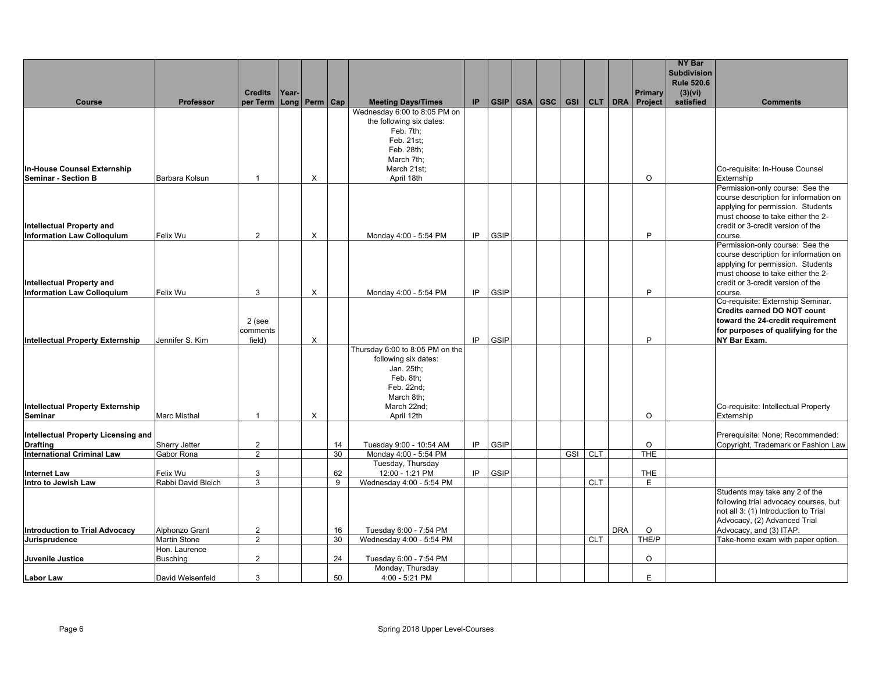|                                                                |                             | <b>Credits</b>                   | Year- |                     |          |                                                                                                                                              |     |             |              |            |            | <b>Primary</b>        | <b>NY Bar</b><br><b>Subdivision</b><br><b>Rule 520.6</b><br>(3)(vi) |                                                                                                                                                                                                    |
|----------------------------------------------------------------|-----------------------------|----------------------------------|-------|---------------------|----------|----------------------------------------------------------------------------------------------------------------------------------------------|-----|-------------|--------------|------------|------------|-----------------------|---------------------------------------------------------------------|----------------------------------------------------------------------------------------------------------------------------------------------------------------------------------------------------|
| Course                                                         | Professor                   | per Term                         |       | Long   Perm $ $ Cap |          | <b>Meeting Days/Times</b>                                                                                                                    | IP. |             | GSIP GSA GSC |            |            | GSI CLT DRA Project   | satisfied                                                           | <b>Comments</b>                                                                                                                                                                                    |
| In-House Counsel Externship<br><b>Seminar - Section B</b>      | Barbara Kolsun              | $\overline{1}$                   |       | X                   |          | Wednesday 6:00 to 8:05 PM on<br>the following six dates:<br>Feb. 7th;<br>Feb. 21st;<br>Feb. 28th;<br>March 7th;<br>March 21st;<br>April 18th |     |             |              |            |            | $\circ$               |                                                                     | Co-requisite: In-House Counsel<br>Externship                                                                                                                                                       |
| Intellectual Property and                                      |                             | $\overline{2}$                   |       |                     |          |                                                                                                                                              | IP  |             |              |            |            | P                     |                                                                     | Permission-only course: See the<br>course description for information on<br>applying for permission. Students<br>must choose to take either the 2-<br>credit or 3-credit version of the            |
| <b>Information Law Colloquium</b><br>Intellectual Property and | Felix Wu                    |                                  |       | X                   |          | Monday 4:00 - 5:54 PM                                                                                                                        |     | <b>GSIP</b> |              |            |            |                       |                                                                     | course.<br>Permission-only course: See the<br>course description for information on<br>applying for permission. Students<br>must choose to take either the 2-<br>credit or 3-credit version of the |
| <b>Information Law Colloquium</b>                              | Felix Wu                    | 3                                |       | X                   |          | Monday 4:00 - 5:54 PM                                                                                                                        | IP  | <b>GSIP</b> |              |            |            | P                     |                                                                     | course.                                                                                                                                                                                            |
| <b>Intellectual Property Externship</b>                        | Jennifer S. Kim             | 2 (see<br>comments<br>field)     |       | X                   |          |                                                                                                                                              | IP  | <b>GSIP</b> |              |            |            | P                     |                                                                     | Co-requisite: Externship Seminar.<br><b>Credits earned DO NOT count</b><br>toward the 24-credit requirement<br>for purposes of qualifying for the<br><b>NY Bar Exam.</b>                           |
| <b>Intellectual Property Externship</b><br>Seminar             | <b>Marc Misthal</b>         | $\mathbf{1}$                     |       | X                   |          | Thursday 6:00 to 8:05 PM on the<br>following six dates:<br>Jan. 25th;<br>Feb. 8th;<br>Feb. 22nd;<br>March 8th;<br>March 22nd;<br>April 12th  |     |             |              |            |            | $\circ$               |                                                                     | Co-requisite: Intellectual Property<br>Externship                                                                                                                                                  |
| Intellectual Property Licensing and                            |                             |                                  |       |                     |          |                                                                                                                                              |     |             |              |            |            |                       |                                                                     | Prerequisite: None; Recommended:                                                                                                                                                                   |
| <b>Drafting</b><br><b>International Criminal Law</b>           | Sherry Jetter<br>Gabor Rona | $\overline{2}$<br>$\overline{2}$ |       |                     | 14<br>30 | Tuesday 9:00 - 10:54 AM<br>Monday 4:00 - 5:54 PM                                                                                             | IP  | <b>GSIP</b> |              | GSI CLT    |            | $\circ$<br><b>THE</b> |                                                                     | Copyright, Trademark or Fashion Law                                                                                                                                                                |
| <b>Internet Law</b>                                            | Felix Wu                    | 3                                |       |                     | 62       | Tuesday, Thursday<br>12:00 - 1:21 PM                                                                                                         | IP  | GSIP        |              |            |            | <b>THE</b>            |                                                                     |                                                                                                                                                                                                    |
| Intro to Jewish Law                                            | Rabbi David Bleich          | 3                                |       |                     | 9        | Wednesday 4:00 - 5:54 PM                                                                                                                     |     |             |              | <b>CLT</b> |            | E                     |                                                                     |                                                                                                                                                                                                    |
| Introduction to Trial Advocacy                                 | Alphonzo Grant              | $\overline{2}$                   |       |                     | 16       | Tuesday 6:00 - 7:54 PM                                                                                                                       |     |             |              |            | <b>DRA</b> | $\circ$               |                                                                     | Students may take any 2 of the<br>following trial advocacy courses, but<br>not all 3: (1) Introduction to Trial<br>Advocacy, (2) Advanced Trial<br>Advocacy, and (3) ITAP.                         |
| Jurisprudence                                                  | Martin Stone                | $\overline{2}$                   |       |                     | 30       | Wednesday 4:00 - 5:54 PM                                                                                                                     |     |             |              | <b>CLT</b> |            | THE/P                 |                                                                     | Take-home exam with paper option.                                                                                                                                                                  |
| Juvenile Justice                                               | Hon. Laurence<br>Busching   | $\overline{2}$                   |       |                     | 24       | Tuesday 6:00 - 7:54 PM                                                                                                                       |     |             |              |            |            | $\circ$               |                                                                     |                                                                                                                                                                                                    |
| ILabor Law                                                     | David Weisenfeld            | 3                                |       |                     | 50       | Monday, Thursday<br>4:00 - 5:21 PM                                                                                                           |     |             |              |            |            | E                     |                                                                     |                                                                                                                                                                                                    |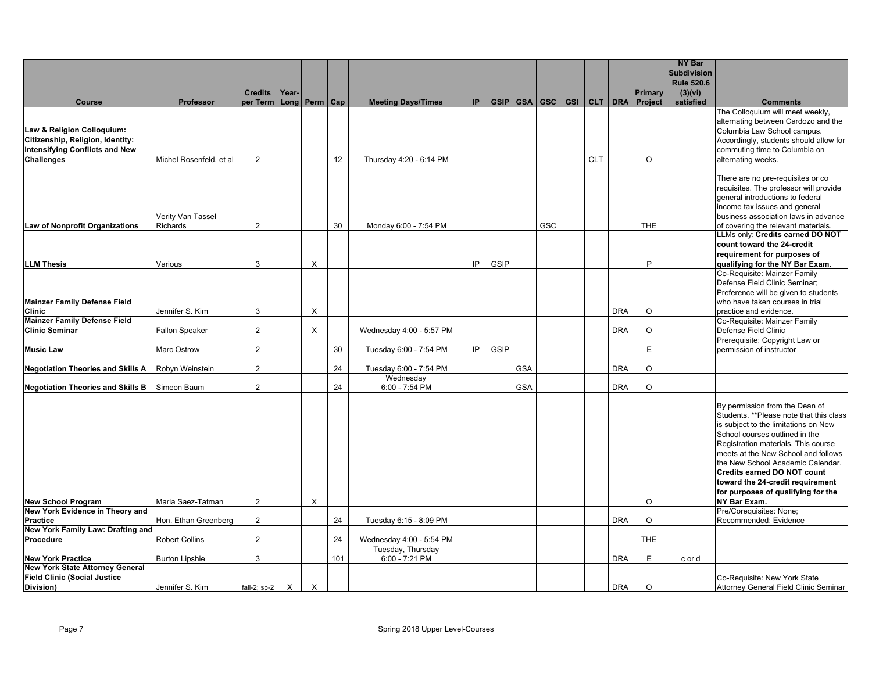|                                                                    |                         |                |              |                   |     |                             |     |      |            |         |            |            |            |            | <b>NY Bar</b><br><b>Subdivision</b> |                                                                                 |
|--------------------------------------------------------------------|-------------------------|----------------|--------------|-------------------|-----|-----------------------------|-----|------|------------|---------|------------|------------|------------|------------|-------------------------------------|---------------------------------------------------------------------------------|
|                                                                    |                         | <b>Credits</b> | Year-        |                   |     |                             |     |      |            |         |            |            |            | Primary    | <b>Rule 520.6</b><br>(3)(vi)        |                                                                                 |
| Course                                                             | Professor               | per Term       |              | Long   Perm   Cap |     | <b>Meeting Days/Times</b>   | IP. | GSIP |            | GSA GSC | <b>GSI</b> |            | CLT DRA    | Project    | satisfied                           | <b>Comments</b>                                                                 |
|                                                                    |                         |                |              |                   |     |                             |     |      |            |         |            |            |            |            |                                     | The Colloquium will meet weekly,                                                |
| Law & Religion Colloquium:                                         |                         |                |              |                   |     |                             |     |      |            |         |            |            |            |            |                                     | alternating between Cardozo and the<br>Columbia Law School campus.              |
| Citizenship, Religion, Identity:                                   |                         |                |              |                   |     |                             |     |      |            |         |            |            |            |            |                                     | Accordingly, students should allow for                                          |
| <b>Intensifying Conflicts and New</b>                              |                         |                |              |                   |     |                             |     |      |            |         |            |            |            |            |                                     | commuting time to Columbia on                                                   |
| <b>Challenges</b>                                                  | Michel Rosenfeld, et al | 2              |              |                   | 12  | Thursday 4:20 - 6:14 PM     |     |      |            |         |            | <b>CLT</b> |            | $\Omega$   |                                     | alternating weeks.                                                              |
|                                                                    |                         |                |              |                   |     |                             |     |      |            |         |            |            |            |            |                                     | There are no pre-requisites or co                                               |
|                                                                    |                         |                |              |                   |     |                             |     |      |            |         |            |            |            |            |                                     | requisites. The professor will provide                                          |
|                                                                    |                         |                |              |                   |     |                             |     |      |            |         |            |            |            |            |                                     | general introductions to federal                                                |
|                                                                    | Verity Van Tassel       |                |              |                   |     |                             |     |      |            |         |            |            |            |            |                                     | income tax issues and general<br>business association laws in advance           |
| Law of Nonprofit Organizations                                     | Richards                | $\overline{2}$ |              |                   | 30  | Monday 6:00 - 7:54 PM       |     |      |            | GSC     |            |            |            | <b>THE</b> |                                     | of covering the relevant materials.                                             |
|                                                                    |                         |                |              |                   |     |                             |     |      |            |         |            |            |            |            |                                     | LLMs only; Credits earned DO NOT                                                |
|                                                                    |                         |                |              |                   |     |                             |     |      |            |         |            |            |            |            |                                     | count toward the 24-credit                                                      |
| <b>LLM Thesis</b>                                                  | Various                 | 3              |              | X                 |     |                             | IP  | GSIP |            |         |            |            |            | P          |                                     | requirement for purposes of<br>qualifying for the NY Bar Exam.                  |
|                                                                    |                         |                |              |                   |     |                             |     |      |            |         |            |            |            |            |                                     | Co-Requisite: Mainzer Family                                                    |
|                                                                    |                         |                |              |                   |     |                             |     |      |            |         |            |            |            |            |                                     | Defense Field Clinic Seminar;                                                   |
|                                                                    |                         |                |              |                   |     |                             |     |      |            |         |            |            |            |            |                                     | Preference will be given to students                                            |
| Mainzer Family Defense Field<br><b>Clinic</b>                      | Jennifer S. Kim         | 3              |              | X                 |     |                             |     |      |            |         |            |            | <b>DRA</b> | $\circ$    |                                     | who have taken courses in trial<br>practice and evidence.                       |
| <b>Mainzer Family Defense Field</b>                                |                         |                |              |                   |     |                             |     |      |            |         |            |            |            |            |                                     | Co-Requisite: Mainzer Family                                                    |
| <b>Clinic Seminar</b>                                              | <b>Fallon Speaker</b>   | $\overline{2}$ |              | X                 |     | Wednesday 4:00 - 5:57 PM    |     |      |            |         |            |            | <b>DRA</b> | $\circ$    |                                     | Defense Field Clinic                                                            |
| <b>Music Law</b>                                                   | Marc Ostrow             | $\overline{2}$ |              |                   | 30  | Tuesday 6:00 - 7:54 PM      | IP  | GSIP |            |         |            |            |            | E          |                                     | Prerequisite: Copyright Law or<br>permission of instructor                      |
|                                                                    |                         |                |              |                   |     |                             |     |      |            |         |            |            |            |            |                                     |                                                                                 |
| <b>Negotiation Theories and Skills A</b>                           | Robyn Weinstein         | $\overline{2}$ |              |                   | 24  | Tuesday 6:00 - 7:54 PM      |     |      | <b>GSA</b> |         |            |            | <b>DRA</b> | $\circ$    |                                     |                                                                                 |
| <b>Negotiation Theories and Skills B</b>                           | Simeon Baum             | $\overline{2}$ |              |                   | 24  | Wednesday<br>6:00 - 7:54 PM |     |      | <b>GSA</b> |         |            |            | <b>DRA</b> | $\circ$    |                                     |                                                                                 |
|                                                                    |                         |                |              |                   |     |                             |     |      |            |         |            |            |            |            |                                     |                                                                                 |
|                                                                    |                         |                |              |                   |     |                             |     |      |            |         |            |            |            |            |                                     | By permission from the Dean of                                                  |
|                                                                    |                         |                |              |                   |     |                             |     |      |            |         |            |            |            |            |                                     | Students. **Please note that this class<br>is subject to the limitations on New |
|                                                                    |                         |                |              |                   |     |                             |     |      |            |         |            |            |            |            |                                     | School courses outlined in the                                                  |
|                                                                    |                         |                |              |                   |     |                             |     |      |            |         |            |            |            |            |                                     | Registration materials. This course                                             |
|                                                                    |                         |                |              |                   |     |                             |     |      |            |         |            |            |            |            |                                     | meets at the New School and follows                                             |
|                                                                    |                         |                |              |                   |     |                             |     |      |            |         |            |            |            |            |                                     | the New School Academic Calendar.<br><b>Credits earned DO NOT count</b>         |
|                                                                    |                         |                |              |                   |     |                             |     |      |            |         |            |            |            |            |                                     | toward the 24-credit requirement                                                |
|                                                                    |                         |                |              |                   |     |                             |     |      |            |         |            |            |            |            |                                     | for purposes of qualifying for the                                              |
| <b>New School Program</b>                                          | Maria Saez-Tatman       | $\overline{2}$ |              | X                 |     |                             |     |      |            |         |            |            |            | $\Omega$   |                                     | NY Bar Exam.                                                                    |
| New York Evidence in Theory and<br><b>Practice</b>                 |                         | $\overline{2}$ |              |                   | 24  |                             |     |      |            |         |            |            | <b>DRA</b> | $\circ$    |                                     | Pre/Corequisites: None;                                                         |
| New York Family Law: Drafting and                                  | Hon. Ethan Greenberg    |                |              |                   |     | Tuesday 6:15 - 8:09 PM      |     |      |            |         |            |            |            |            |                                     | Recommended: Evidence                                                           |
| Procedure                                                          | <b>Robert Collins</b>   | $\overline{2}$ |              |                   | 24  | Wednesday 4:00 - 5:54 PM    |     |      |            |         |            |            |            | <b>THE</b> |                                     |                                                                                 |
|                                                                    |                         |                |              |                   |     | Tuesday, Thursday           |     |      |            |         |            |            |            |            |                                     |                                                                                 |
| <b>New York Practice</b><br><b>New York State Attorney General</b> | <b>Burton Lipshie</b>   | 3              |              |                   | 101 | 6:00 - 7:21 PM              |     |      |            |         |            |            | <b>DRA</b> | E          | c or d                              |                                                                                 |
| <b>Field Clinic (Social Justice</b>                                |                         |                |              |                   |     |                             |     |      |            |         |            |            |            |            |                                     | Co-Requisite: New York State                                                    |
| Division)                                                          | Jennifer S. Kim         | fall-2; $sp-2$ | $\mathsf{X}$ | X                 |     |                             |     |      |            |         |            |            | <b>DRA</b> | $\Omega$   |                                     | Attorney General Field Clinic Seminar                                           |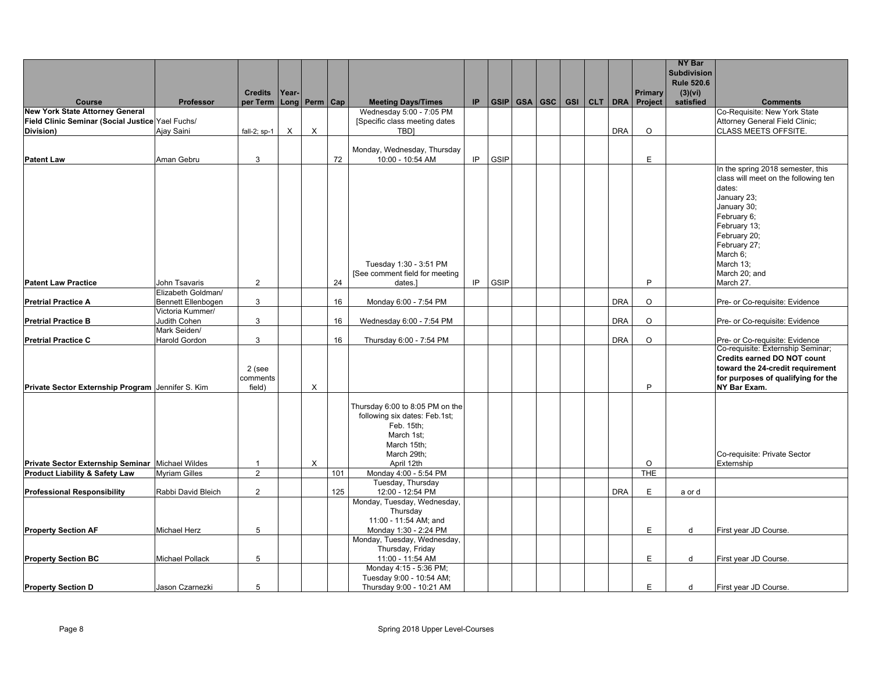|                                                   |                              |                            |       |                   |     |                                            |     |      |              |                  |         |            |                    | <b>NY Bar</b><br><b>Subdivision</b> |                                      |
|---------------------------------------------------|------------------------------|----------------------------|-------|-------------------|-----|--------------------------------------------|-----|------|--------------|------------------|---------|------------|--------------------|-------------------------------------|--------------------------------------|
|                                                   |                              |                            |       |                   |     |                                            |     |      |              |                  |         |            |                    | <b>Rule 520.6</b>                   |                                      |
| Course                                            | Professor                    | <b>Credits</b><br>per Term | Year- | Long   Perm   Cap |     | <b>Meeting Days/Times</b>                  | IP. |      | GSIP GSA GSC | GSI <sup>I</sup> | CLT DRA |            | Primary<br>Project | (3)(vi)<br>satisfied                | <b>Comments</b>                      |
| <b>New York State Attorney General</b>            |                              |                            |       |                   |     | Wednesday 5:00 - 7:05 PM                   |     |      |              |                  |         |            |                    |                                     | Co-Requisite: New York State         |
| Field Clinic Seminar (Social Justice Yael Fuchs/  |                              |                            |       |                   |     | [Specific class meeting dates              |     |      |              |                  |         |            |                    |                                     | Attorney General Field Clinic;       |
| Division)                                         | Ajay Saini                   | fall-2; $sp-1$             | X     | X                 |     | <b>TBDI</b>                                |     |      |              |                  |         | <b>DRA</b> | $\circ$            |                                     | <b>CLASS MEETS OFFSITE.</b>          |
|                                                   |                              |                            |       |                   |     |                                            |     |      |              |                  |         |            |                    |                                     |                                      |
|                                                   |                              |                            |       |                   |     | Monday, Wednesday, Thursday                | IP. | GSIP |              |                  |         |            | E                  |                                     |                                      |
| <b>Patent Law</b>                                 | Aman Gebru                   | 3                          |       |                   | 72  | 10:00 - 10:54 AM                           |     |      |              |                  |         |            |                    |                                     | In the spring 2018 semester, this    |
|                                                   |                              |                            |       |                   |     |                                            |     |      |              |                  |         |            |                    |                                     | class will meet on the following ten |
|                                                   |                              |                            |       |                   |     |                                            |     |      |              |                  |         |            |                    |                                     | dates:                               |
|                                                   |                              |                            |       |                   |     |                                            |     |      |              |                  |         |            |                    |                                     | January 23;                          |
|                                                   |                              |                            |       |                   |     |                                            |     |      |              |                  |         |            |                    |                                     | January 30;                          |
|                                                   |                              |                            |       |                   |     |                                            |     |      |              |                  |         |            |                    |                                     | February 6;                          |
|                                                   |                              |                            |       |                   |     |                                            |     |      |              |                  |         |            |                    |                                     | February 13;                         |
|                                                   |                              |                            |       |                   |     |                                            |     |      |              |                  |         |            |                    |                                     | February 20;                         |
|                                                   |                              |                            |       |                   |     |                                            |     |      |              |                  |         |            |                    |                                     | February 27;<br>March 6;             |
|                                                   |                              |                            |       |                   |     | Tuesday 1:30 - 3:51 PM                     |     |      |              |                  |         |            |                    |                                     | March 13;                            |
|                                                   |                              |                            |       |                   |     | [See comment field for meeting             |     |      |              |                  |         |            |                    |                                     | March 20; and                        |
| <b>Patent Law Practice</b>                        | John Tsavaris                | $\overline{2}$             |       |                   | 24  | dates.]                                    | IP  | GSIP |              |                  |         |            | P                  |                                     | March 27.                            |
|                                                   | Elizabeth Goldman/           |                            |       |                   |     |                                            |     |      |              |                  |         |            |                    |                                     |                                      |
| <b>Pretrial Practice A</b>                        | Bennett Ellenbogen           | 3                          |       |                   | 16  | Monday 6:00 - 7:54 PM                      |     |      |              |                  |         | <b>DRA</b> | $\circ$            |                                     | Pre- or Co-requisite: Evidence       |
|                                                   | Victoria Kummer/             |                            |       |                   |     |                                            |     |      |              |                  |         |            |                    |                                     |                                      |
| <b>Pretrial Practice B</b>                        | Judith Cohen<br>Mark Seiden/ | 3                          |       |                   | 16  | Wednesday 6:00 - 7:54 PM                   |     |      |              |                  |         | <b>DRA</b> | $\circ$            |                                     | Pre- or Co-requisite: Evidence       |
| <b>Pretrial Practice C</b>                        | Harold Gordon                | 3                          |       |                   | 16  | Thursday 6:00 - 7:54 PM                    |     |      |              |                  |         | <b>DRA</b> | $\circ$            |                                     | Pre- or Co-requisite: Evidence       |
|                                                   |                              |                            |       |                   |     |                                            |     |      |              |                  |         |            |                    |                                     | Co-requisite: Externship Seminar;    |
|                                                   |                              |                            |       |                   |     |                                            |     |      |              |                  |         |            |                    |                                     | <b>Credits earned DO NOT count</b>   |
|                                                   |                              | $2$ (see                   |       |                   |     |                                            |     |      |              |                  |         |            |                    |                                     | toward the 24-credit requirement     |
|                                                   |                              | comments                   |       |                   |     |                                            |     |      |              |                  |         |            |                    |                                     | for purposes of qualifying for the   |
| Private Sector Externship Program Jennifer S. Kim |                              | field)                     |       | X                 |     |                                            |     |      |              |                  |         |            | P                  |                                     | NY Bar Exam.                         |
|                                                   |                              |                            |       |                   |     | Thursday 6:00 to 8:05 PM on the            |     |      |              |                  |         |            |                    |                                     |                                      |
|                                                   |                              |                            |       |                   |     | following six dates: Feb.1st;              |     |      |              |                  |         |            |                    |                                     |                                      |
|                                                   |                              |                            |       |                   |     | Feb. 15th;                                 |     |      |              |                  |         |            |                    |                                     |                                      |
|                                                   |                              |                            |       |                   |     | March 1st;                                 |     |      |              |                  |         |            |                    |                                     |                                      |
|                                                   |                              |                            |       |                   |     | March 15th;                                |     |      |              |                  |         |            |                    |                                     |                                      |
|                                                   |                              |                            |       |                   |     | March 29th;                                |     |      |              |                  |         |            |                    |                                     | Co-requisite: Private Sector         |
| Private Sector Externship Seminar Michael Wildes  |                              | $\mathbf{1}$               |       | X                 |     | April 12th                                 |     |      |              |                  |         |            | $\circ$            |                                     | Externship                           |
| <b>Product Liability &amp; Safety Law</b>         | <b>Myriam Gilles</b>         | $\overline{2}$             |       |                   | 101 | Monday 4:00 - 5:54 PM<br>Tuesday, Thursday |     |      |              |                  |         |            | THE                |                                     |                                      |
| <b>Professional Responsibility</b>                | Rabbi David Bleich           | $\overline{2}$             |       |                   | 125 | 12:00 - 12:54 PM                           |     |      |              |                  |         | <b>DRA</b> | E                  | a or d                              |                                      |
|                                                   |                              |                            |       |                   |     | Monday, Tuesday, Wednesday,                |     |      |              |                  |         |            |                    |                                     |                                      |
|                                                   |                              |                            |       |                   |     | Thursday                                   |     |      |              |                  |         |            |                    |                                     |                                      |
|                                                   |                              |                            |       |                   |     | 11:00 - 11:54 AM; and                      |     |      |              |                  |         |            |                    |                                     |                                      |
| <b>Property Section AF</b>                        | Michael Herz                 | 5                          |       |                   |     | Monday 1:30 - 2:24 PM                      |     |      |              |                  |         |            | E                  | d                                   | First year JD Course.                |
|                                                   |                              |                            |       |                   |     | Monday, Tuesday, Wednesday,                |     |      |              |                  |         |            |                    |                                     |                                      |
|                                                   |                              |                            |       |                   |     | Thursday, Friday                           |     |      |              |                  |         |            | E                  |                                     |                                      |
| <b>Property Section BC</b>                        | <b>Michael Pollack</b>       | 5                          |       |                   |     | 11:00 - 11:54 AM<br>Monday 4:15 - 5:36 PM; |     |      |              |                  |         |            |                    | d                                   | First year JD Course.                |
|                                                   |                              |                            |       |                   |     | Tuesday 9:00 - 10:54 AM;                   |     |      |              |                  |         |            |                    |                                     |                                      |
| <b>Property Section D</b>                         | Jason Czarnezki              | 5                          |       |                   |     | Thursday 9:00 - 10:21 AM                   |     |      |              |                  |         |            | E                  | d                                   | First year JD Course.                |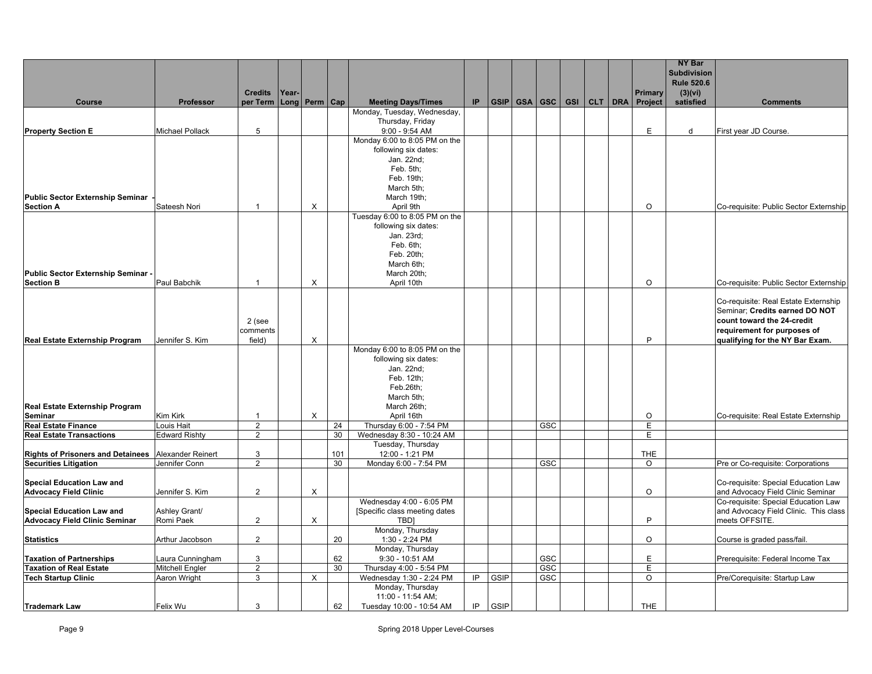|                                                        |                        |                            |       |                       |     |                                               |    |             |     |  |                                             | <b>NY Bar</b><br><b>Subdivision</b> |                                                                          |
|--------------------------------------------------------|------------------------|----------------------------|-------|-----------------------|-----|-----------------------------------------------|----|-------------|-----|--|---------------------------------------------|-------------------------------------|--------------------------------------------------------------------------|
|                                                        |                        |                            |       |                       |     |                                               |    |             |     |  |                                             | <b>Rule 520.6</b>                   |                                                                          |
| Course                                                 | Professor              | <b>Credits</b><br>per Term | Year- | $Long  $ Perm $ $ Cap |     | <b>Meeting Days/Times</b>                     | IP |             |     |  | Primary<br>GSIP GSA GSC GSI CLT DRA Project | (3)(vi)<br>satisfied                | <b>Comments</b>                                                          |
|                                                        |                        |                            |       |                       |     | Monday, Tuesday, Wednesday,                   |    |             |     |  |                                             |                                     |                                                                          |
|                                                        |                        |                            |       |                       |     | Thursday, Friday                              |    |             |     |  |                                             |                                     |                                                                          |
| <b>Property Section E</b>                              | <b>Michael Pollack</b> | 5                          |       |                       |     | $9:00 - 9:54$ AM                              |    |             |     |  | E                                           | d                                   | First year JD Course.                                                    |
|                                                        |                        |                            |       |                       |     | Monday 6:00 to 8:05 PM on the                 |    |             |     |  |                                             |                                     |                                                                          |
|                                                        |                        |                            |       |                       |     | following six dates:                          |    |             |     |  |                                             |                                     |                                                                          |
|                                                        |                        |                            |       |                       |     | Jan. 22nd;                                    |    |             |     |  |                                             |                                     |                                                                          |
|                                                        |                        |                            |       |                       |     | Feb. 5th;<br>Feb. 19th;                       |    |             |     |  |                                             |                                     |                                                                          |
|                                                        |                        |                            |       |                       |     | March 5th;                                    |    |             |     |  |                                             |                                     |                                                                          |
| <b>Public Sector Externship Seminar</b>                |                        |                            |       |                       |     | March 19th;                                   |    |             |     |  |                                             |                                     |                                                                          |
| <b>Section A</b>                                       | Sateesh Nori           | $\mathbf{1}$               |       | X                     |     | April 9th                                     |    |             |     |  | $\circ$                                     |                                     | Co-requisite: Public Sector Externship                                   |
|                                                        |                        |                            |       |                       |     | Tuesday 6:00 to 8:05 PM on the                |    |             |     |  |                                             |                                     |                                                                          |
|                                                        |                        |                            |       |                       |     | following six dates:                          |    |             |     |  |                                             |                                     |                                                                          |
|                                                        |                        |                            |       |                       |     | Jan. 23rd;                                    |    |             |     |  |                                             |                                     |                                                                          |
|                                                        |                        |                            |       |                       |     | Feb. 6th;                                     |    |             |     |  |                                             |                                     |                                                                          |
|                                                        |                        |                            |       |                       |     | Feb. 20th;                                    |    |             |     |  |                                             |                                     |                                                                          |
|                                                        |                        |                            |       |                       |     | March 6th;                                    |    |             |     |  |                                             |                                     |                                                                          |
| Public Sector Externship Seminar -<br><b>Section B</b> | Paul Babchik           | -1                         |       | $\times$              |     | March 20th;<br>April 10th                     |    |             |     |  | $\Omega$                                    |                                     | Co-requisite: Public Sector Externship                                   |
|                                                        |                        |                            |       |                       |     |                                               |    |             |     |  |                                             |                                     |                                                                          |
|                                                        |                        |                            |       |                       |     |                                               |    |             |     |  |                                             |                                     | Co-requisite: Real Estate Externship                                     |
|                                                        |                        |                            |       |                       |     |                                               |    |             |     |  |                                             |                                     | Seminar; Credits earned DO NOT                                           |
|                                                        |                        | 2 (see                     |       |                       |     |                                               |    |             |     |  |                                             |                                     | count toward the 24-credit                                               |
|                                                        |                        | comments                   |       |                       |     |                                               |    |             |     |  |                                             |                                     | requirement for purposes of                                              |
| <b>Real Estate Externship Program</b>                  | Jennifer S. Kim        | field)                     |       | $\times$              |     |                                               |    |             |     |  | P                                           |                                     | qualifying for the NY Bar Exam.                                          |
|                                                        |                        |                            |       |                       |     | Monday 6:00 to 8:05 PM on the                 |    |             |     |  |                                             |                                     |                                                                          |
|                                                        |                        |                            |       |                       |     | following six dates:                          |    |             |     |  |                                             |                                     |                                                                          |
|                                                        |                        |                            |       |                       |     | Jan. 22nd;                                    |    |             |     |  |                                             |                                     |                                                                          |
|                                                        |                        |                            |       |                       |     | Feb. 12th;                                    |    |             |     |  |                                             |                                     |                                                                          |
|                                                        |                        |                            |       |                       |     | Feb.26th;<br>March 5th;                       |    |             |     |  |                                             |                                     |                                                                          |
| <b>Real Estate Externship Program</b>                  |                        |                            |       |                       |     | March 26th;                                   |    |             |     |  |                                             |                                     |                                                                          |
| <b>Seminar</b>                                         | Kim Kirk               | -1                         |       | X                     |     | April 16th                                    |    |             |     |  | $\circ$                                     |                                     | Co-requisite: Real Estate Externship                                     |
| <b>Real Estate Finance</b>                             | Louis Hait             | $\overline{2}$             |       |                       | 24  | Thursday 6:00 - 7:54 PM                       |    |             | GSC |  | E.                                          |                                     |                                                                          |
| <b>Real Estate Transactions</b>                        | <b>Edward Rishty</b>   | 2                          |       |                       | 30  | Wednesday 8:30 - 10:24 AM                     |    |             |     |  | E                                           |                                     |                                                                          |
|                                                        |                        |                            |       |                       |     | Tuesday, Thursday                             |    |             |     |  |                                             |                                     |                                                                          |
| Rights of Prisoners and Detainees Alexander Reinert    |                        | 3                          |       |                       | 101 | 12:00 - 1:21 PM                               |    |             |     |  | <b>THE</b>                                  |                                     |                                                                          |
| <b>Securities Litigation</b>                           | Jennifer Conn          | $\overline{2}$             |       |                       | 30  | Monday 6:00 - 7:54 PM                         |    |             | GSC |  | $\overline{O}$                              |                                     | Pre or Co-requisite: Corporations                                        |
|                                                        |                        |                            |       |                       |     |                                               |    |             |     |  |                                             |                                     |                                                                          |
| <b>Special Education Law and</b>                       |                        | $\overline{2}$             |       |                       |     |                                               |    |             |     |  | $\circ$                                     |                                     | Co-requisite: Special Education Law                                      |
| <b>Advocacy Field Clinic</b>                           | Jennifer S. Kim        |                            |       | X                     |     | Wednesday 4:00 - 6:05 PM                      |    |             |     |  |                                             |                                     | and Advocacy Field Clinic Seminar<br>Co-requisite: Special Education Law |
| <b>Special Education Law and</b>                       | Ashley Grant/          |                            |       |                       |     | [Specific class meeting dates                 |    |             |     |  |                                             |                                     | and Advocacy Field Clinic. This class                                    |
| <b>Advocacy Field Clinic Seminar</b>                   | Romi Paek              | $\overline{2}$             |       | X                     |     | <b>TBD</b>                                    |    |             |     |  | P                                           |                                     | meets OFFSITE.                                                           |
|                                                        |                        |                            |       |                       |     | Monday, Thursday                              |    |             |     |  |                                             |                                     |                                                                          |
| <b>Statistics</b>                                      | Arthur Jacobson        | 2                          |       |                       | 20  | 1:30 - 2:24 PM                                |    |             |     |  | $\Omega$                                    |                                     | Course is graded pass/fail.                                              |
|                                                        |                        |                            |       |                       |     | Monday, Thursday                              |    |             |     |  |                                             |                                     |                                                                          |
| <b>Taxation of Partnerships</b>                        | Laura Cunningham       | 3                          |       |                       | 62  | 9:30 - 10:51 AM                               |    |             | GSC |  | E                                           |                                     | Prerequisite: Federal Income Tax                                         |
| <b>Taxation of Real Estate</b>                         | <b>Mitchell Engler</b> | 2                          |       |                       | 30  | Thursday 4:00 - 5:54 PM                       |    |             | GSC |  | E                                           |                                     |                                                                          |
| <b>Tech Startup Clinic</b>                             | Aaron Wright           | 3                          |       | $\mathsf{X}$          |     | Wednesday 1:30 - 2:24 PM                      | IP | <b>GSIP</b> | GSC |  | $\circ$                                     |                                     | Pre/Corequisite: Startup Law                                             |
|                                                        |                        |                            |       |                       |     | Monday, Thursday                              |    |             |     |  |                                             |                                     |                                                                          |
| <b>Trademark Law</b>                                   | Felix Wu               | 3                          |       |                       | 62  | 11:00 - 11:54 AM;<br>Tuesday 10:00 - 10:54 AM | IP | <b>GSIP</b> |     |  | THE                                         |                                     |                                                                          |
|                                                        |                        |                            |       |                       |     |                                               |    |             |     |  |                                             |                                     |                                                                          |